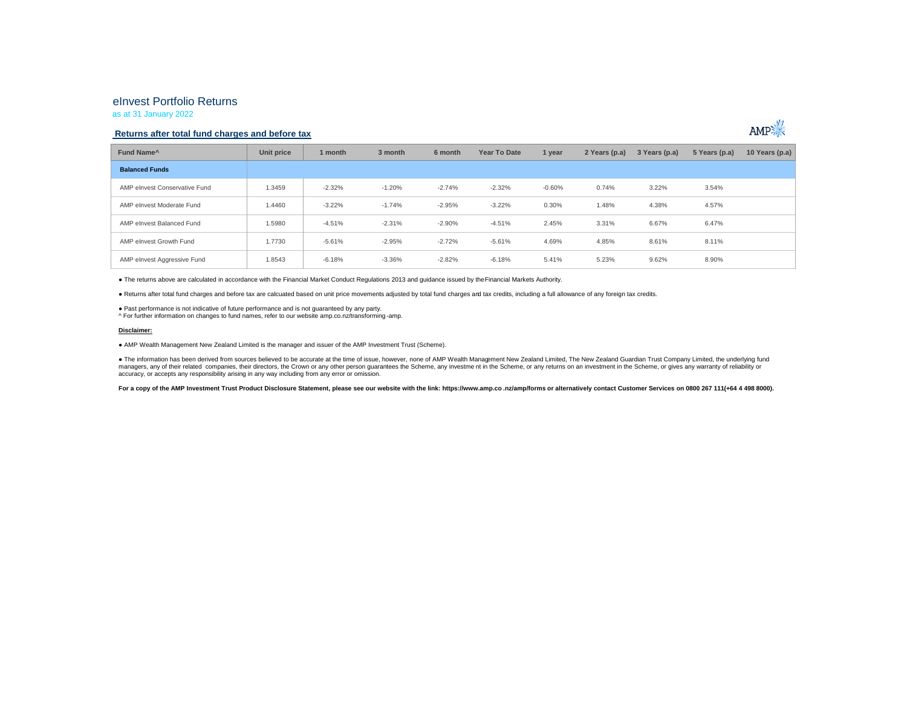# eInvest Portfolio Returns

as at 31 January 2022

# **Returns after total fund charges and before tax**



● The returns above are calculated in accordance with the Financial Market Conduct Regulations 2013 and guidance issued by the Financial Markets Authority.

● Returns after total fund charges and before tax are calcuated based on unit price movements adjusted by total fund charges and tax credits, including a full allowance of any foreign tax credits.

● Past performance is not indicative of future performance and is not guaranteed by any party.

^ For further information on changes to fund names, refer to our website amp.co.nz/transforming -amp.

#### **Disclaimer:**

● AMP Wealth Management New Zealand Limited is the manager and issuer of the AMP Investment Trust (Scheme).

● The information has been derived from sources believed to be accurate at the time of issue, however, none of AMP Wealth Management New Zealand Limited, The New Zealand Guardian Trust Company Limited, the underlying fund managers, any of their related companies, their directors, the Crown or any other person guarantees the Scheme, any investment in the Scheme, or any returns on an investment in the Scheme, or any returns on an investment i accuracy, or accepts any responsibility arising in any way including from any error or omission.

For a copy of the AMP Investment Trust Product Disclosure Statement, please see our website with the link: https://www.amp.co.nz/amp/forms or alternatively contact Customer Services on 0800 267 111(+64 4 498 8000).